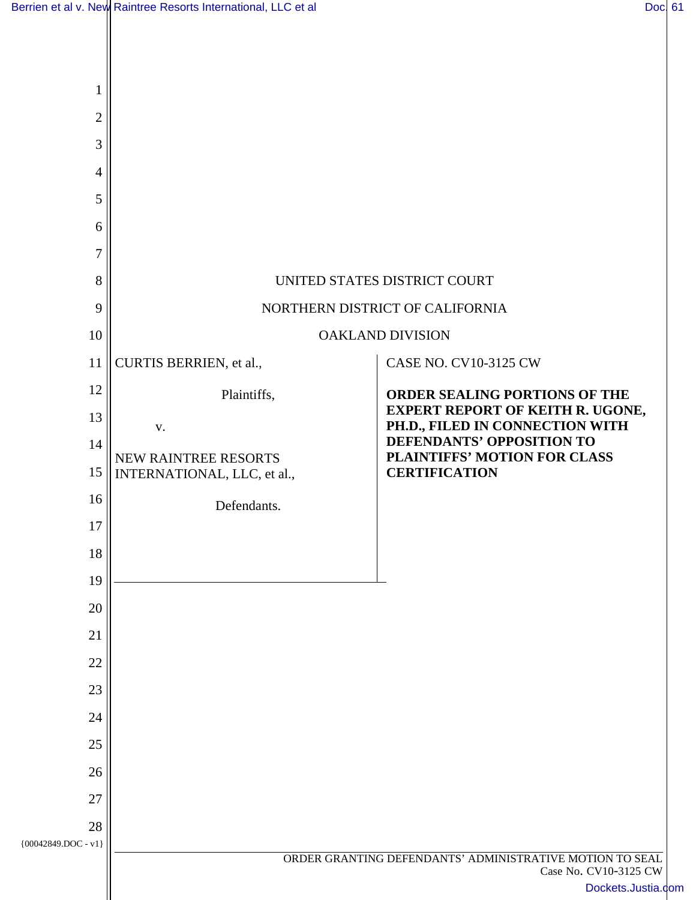| $\mathfrak{2}$          |                                                          |                                                                            |
|-------------------------|----------------------------------------------------------|----------------------------------------------------------------------------|
| 3                       |                                                          |                                                                            |
| 4                       |                                                          |                                                                            |
| 5                       |                                                          |                                                                            |
| 6                       |                                                          |                                                                            |
| 7                       |                                                          |                                                                            |
| 8                       |                                                          | UNITED STATES DISTRICT COURT                                               |
| 9                       | NORTHERN DISTRICT OF CALIFORNIA                          |                                                                            |
| 10                      | <b>OAKLAND DIVISION</b>                                  |                                                                            |
| 11                      | CURTIS BERRIEN, et al.,                                  | <b>CASE NO. CV10-3125 CW</b>                                               |
| 12                      | Plaintiffs,                                              | <b>ORDER SEALING PORTIONS OF THE</b>                                       |
| 13                      | V.                                                       | <b>EXPERT REPORT OF KEITH R. UGONE,</b><br>PH.D., FILED IN CONNECTION WITH |
| 14                      | NEW RAINTREE RESORTS                                     | DEFENDANTS' OPPOSITION TO<br>PLAINTIFFS' MOTION FOR CLASS                  |
| 15                      | INTERNATIONAL, LLC, et al.,                              | <b>CERTIFICATION</b>                                                       |
| 16                      | Defendants.                                              |                                                                            |
| 17                      |                                                          |                                                                            |
| 18                      |                                                          |                                                                            |
| 19                      |                                                          |                                                                            |
| 20                      |                                                          |                                                                            |
| 21                      |                                                          |                                                                            |
| 22<br>23                |                                                          |                                                                            |
| 24                      |                                                          |                                                                            |
| 25                      |                                                          |                                                                            |
| 26                      |                                                          |                                                                            |
| 27                      |                                                          |                                                                            |
| 28                      |                                                          |                                                                            |
| ${00042849.}$ DOC - v1} | ORDER GRANTING DEFENDANTS' ADMINISTRATIVE MOTION TO SEAL |                                                                            |
|                         |                                                          | Case No. CV10-3125 CW<br>Dockets.Justia.com                                |
|                         |                                                          |                                                                            |